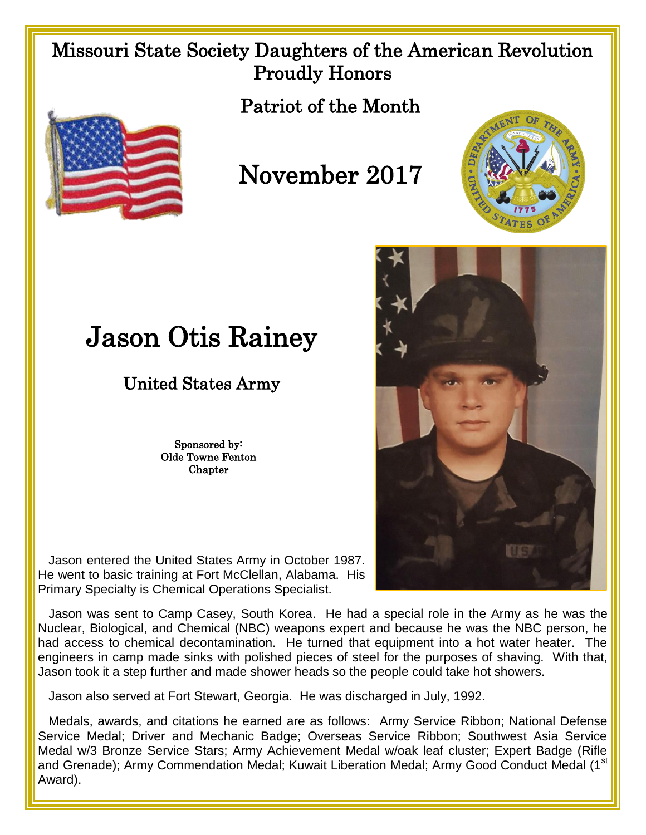## Missouri State Society Daughters of the American Revolution Proudly Honors

Patriot of the Month



## November 2017



## Jason Otis Rainey

## United States Army

Sponsored by: Olde Towne Fenton Chapter

 Jason entered the United States Army in October 1987. He went to basic training at Fort McClellan, Alabama. His Primary Specialty is Chemical Operations Specialist.

 Jason was sent to Camp Casey, South Korea. He had a special role in the Army as he was the Nuclear, Biological, and Chemical (NBC) weapons expert and because he was the NBC person, he had access to chemical decontamination. He turned that equipment into a hot water heater. The engineers in camp made sinks with polished pieces of steel for the purposes of shaving. With that, Jason took it a step further and made shower heads so the people could take hot showers.

Jason also served at Fort Stewart, Georgia. He was discharged in July, 1992.

 Medals, awards, and citations he earned are as follows: Army Service Ribbon; National Defense Service Medal; Driver and Mechanic Badge; Overseas Service Ribbon; Southwest Asia Service Medal w/3 Bronze Service Stars; Army Achievement Medal w/oak leaf cluster; Expert Badge (Rifle and Grenade); Army Commendation Medal; Kuwait Liberation Medal; Army Good Conduct Medal (1<sup>st</sup> Award).